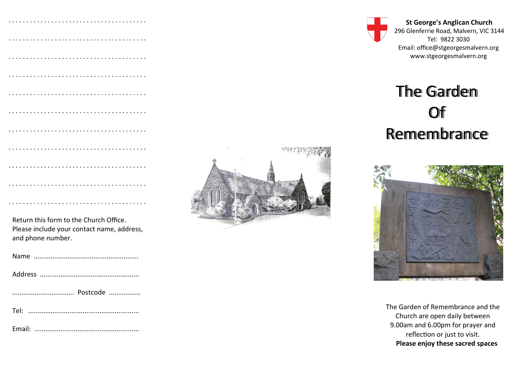| Return this form to the Church Office.<br>Please include your contact name, address, |
|--------------------------------------------------------------------------------------|

and phone number. Name ........................................................





**St George's Anglican Church** 296 Glenferrie Road, Malvern, VIC 3144 Tel: 9822 3030 Email: office@stgeorgesmalvern.org www.stgeorgesmalvern.org

## The Garden Of Remembrance



The Garden of Remembrance and the Church are open daily between 9.00am and 6.00pm for prayer and reflection or just to visit. **Please enjoy these sacred spaces**